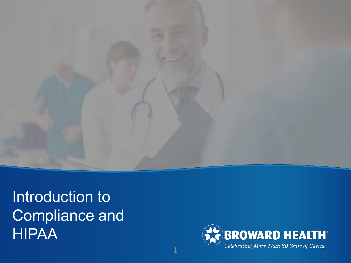

Introduction to Compliance and HIPAA

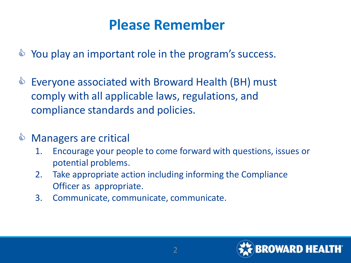### **Please Remember**

- $\Diamond$  You play an important role in the program's success.
- $\triangle$  Everyone associated with Broward Health (BH) must comply with all applicable laws, regulations, and compliance standards and policies.
- **& Managers are critical** 
	- 1. Encourage your people to come forward with questions, issues or potential problems.
	- 2. Take appropriate action including informing the Compliance Officer as appropriate.
	- 3. Communicate, communicate, communicate.

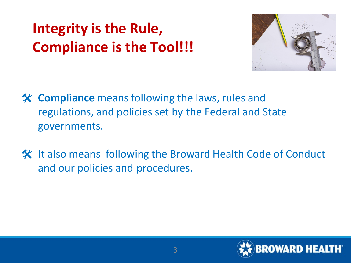# **Integrity is the Rule, Compliance is the Tool!!!**



- **Compliance** means following the laws, rules and regulations, and policies set by the Federal and State governments.
- **X** It also means following the Broward Health Code of Conduct and our policies and procedures.

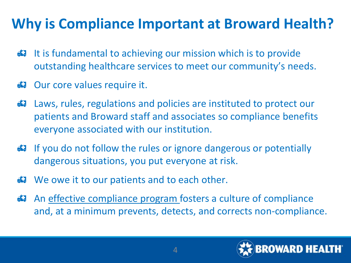## **Why is Compliance Important at Broward Health?**

- **It is fundamental to achieving our mission which is to provide** outstanding healthcare services to meet our community's needs.
- Our core values require it.
- Laws, rules, regulations and policies are instituted to protect our patients and Broward staff and associates so compliance benefits everyone associated with our institution.
- If you do not follow the rules or ignore dangerous or potentially dangerous situations, you put everyone at risk.
- **B** We owe it to our patients and to each other.
- An effective compliance program fosters a culture of compliance and, at a minimum prevents, detects, and corrects non-compliance.

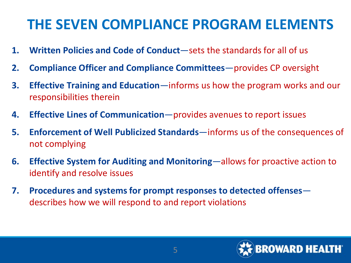### **THE SEVEN COMPLIANCE PROGRAM ELEMENTS**

- **1. Written Policies and Code of Conduct**—sets the standards for all of us
- **2. Compliance Officer and Compliance Committees**—provides CP oversight
- **3. Effective Training and Education**—informs us how the program works and our responsibilities therein
- **4. Effective Lines of Communication**—provides avenues to report issues
- **5. Enforcement of Well Publicized Standards**—informs us of the consequences of not complying
- **6. Effective System for Auditing and Monitoring**—allows for proactive action to identify and resolve issues
- **7. Procedures and systems for prompt responses to detected offenses** describes how we will respond to and report violations

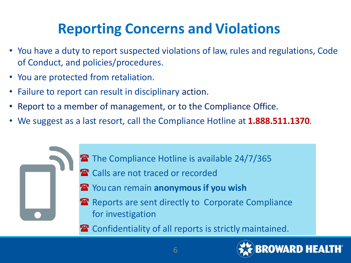# **Reporting Concerns and Violations**

- You have a duty to report suspected violations of law, rules and regulations, Code of Conduct, and policies/procedures.
- You are protected from retaliation.
- Failure to report can result in disciplinary action.
- Report to a member of management, or to the Compliance Office.
- We suggest as a last resort, call the Compliance Hotline at **1.888.511.1370**.



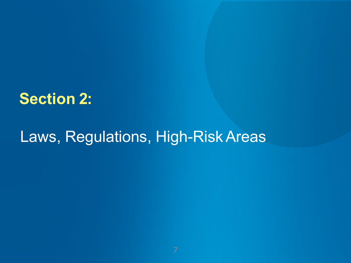### **Section 2:**

## Laws, Regulations, High-RiskAreas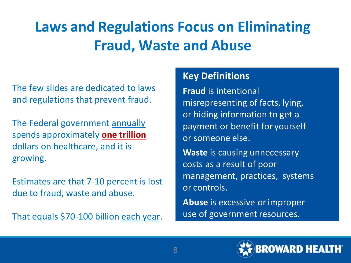# **Laws and Regulations Focus on Eliminating Fraud, Waste and Abuse**

The few slides are dedicated to laws and regulations that prevent fraud.

The Federal government annually spends approximately **one trillion**  dollars on healthcare, and it is growing.

Estimates are that 7-10 percent is lost due to fraud, waste and abuse.

That equals \$70-100 billion each year.

### **Key Definitions**

**Fraud** is intentional misrepresenting of facts, lying, or hiding information to get a payment or benefit for yourself or someone else.

**Waste** is causing unnecessary costs as a result of poor management, practices, systems or controls.

**Abuse** is excessive orimproper use of government resources.

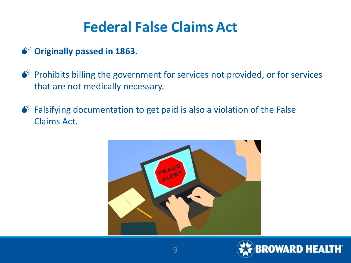## **Federal False Claims Act**

### **Originally passed in 1863.**

 $\bullet$ <sup>\*</sup> Prohibits billing the government for services not provided, or for services that are not medically necessary.

 $\bullet^*$  Falsifying documentation to get paid is also a violation of the False Claims Act.



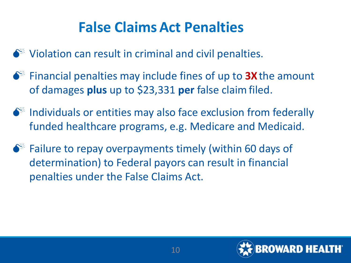## **False ClaimsAct Penalties**

 $\bullet^*$  Violation can result in criminal and civil penalties.

- $\bullet^*$  Financial penalties may include fines of up to **3X** the amount of damages **plus** up to \$23,331 **per** false claimfiled.
- $\bullet^*$  Individuals or entities may also face exclusion from federally funded healthcare programs, e.g. Medicare and Medicaid.
- $\bullet$  Failure to repay overpayments timely (within 60 days of determination) to Federal payors can result in financial penalties under the False Claims Act.

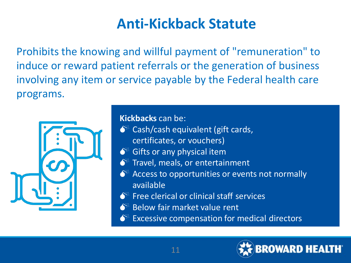### **Anti-Kickback Statute**

Prohibits the knowing and willful payment of "remuneration" to induce or reward patient referrals or the generation of business involving any item or service payable by the Federal health care programs.



**Kickbacks** can be:

- $\bullet^*$  Cash/cash equivalent (gift cards,
	- certificates, or vouchers)
- $\bullet^*$  Gifts or any physical item
- $\bullet^*$  Travel, meals, or entertainment
- $\bullet^*$  Access to opportunities or events not normally available
- Free clerical or clinical staff services
- Below fair market value rent
- Excessive compensation for medical directors

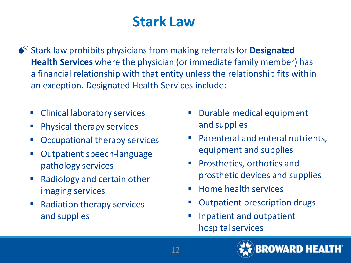### **Stark Law**

 Stark law prohibits physicians from making referrals for **Designated Health Services** where the physician (or immediate family member) has a financial relationship with that entity unless the relationship fits within an exception. Designated Health Services include:

- **EX Clinical laboratory services**
- **Physical therapy services**
- Occupational therapy services
- Outpatient speech-language pathology services
- Radiology and certain other imaging services
- Radiation therapy services and supplies
- Durable medical equipment and supplies
- Parenteral and enteral nutrients, equipment and supplies
- **Prosthetics, orthotics and** prosthetic devices and supplies
- $\blacksquare$  Home health services
- Outpatient prescription drugs
- **If** Inpatient and outpatient hospital services

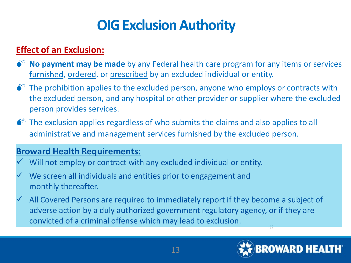### **OIG Exclusion Authority**

### **Effect of an Exclusion:**

- **No payment may be made** by any Federal health care program for any items or services furnished, ordered, or prescribed by an excluded individual or entity.
- $\bullet^*$  The prohibition applies to the excluded person, anyone who employs or contracts with the excluded person, and any hospital or other provider or supplier where the excluded person provides services.
- $\bullet$  The exclusion applies regardless of who submits the claims and also applies to all administrative and management services furnished by the excluded person.

#### **Broward Health Requirements:**

- Will not employ or contract with any excluded individual or entity.
- We screen all individuals and entities prior to engagement and monthly thereafter.
- All Covered Persons are required to immediately report if they become a subject of adverse action by a duly authorized government regulatory agency, or if they are convicted of a criminal offense which may lead to exclusion.

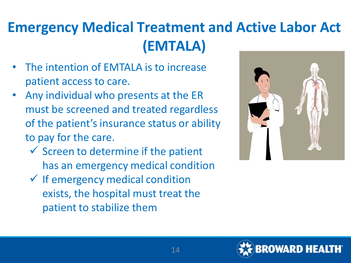# **Emergency Medical Treatment and Active Labor Act (EMTALA)**

- The intention of EMTALA is to increase patient access to care.
- Any individual who presents at the ER must be screened and treated regardless of the patient's insurance status or ability to pay for the care.
	- $\checkmark$  Screen to determine if the patient has an emergency medical condition
	- $\checkmark$  If emergency medical condition exists, the hospital must treat the patient to stabilize them



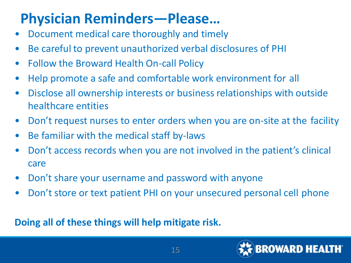## **Physician Reminders—Please…**

- Document medical care thoroughly and timely
- Be careful to prevent unauthorized verbal disclosures of PHI
- Follow the Broward Health On-call Policy
- Help promote a safe and comfortable work environment for all
- Disclose all ownership interests or business relationships with outside healthcare entities
- Don't request nurses to enter orders when you are on-site at the facility
- Be familiar with the medical staff by-laws
- Don't access records when you are not involved in the patient's clinical care
- Don't share your username and password with anyone
- Don't store or text patient PHI on your unsecured personal cell phone

### **Doing all of these things will help mitigate risk.**

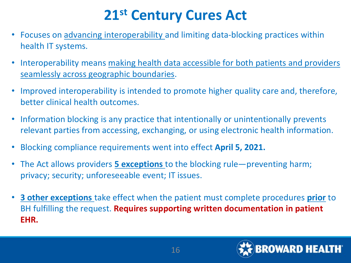## **21st Century Cures Act**

- Focuses on advancing interoperability and limiting data-blocking practices within health IT systems.
- Interoperability means [making health data accessible for both patients and providers](https://arcweb.co/interoperability-improving-patient-experience/)  seamlessly across geographic boundaries.
- Improved interoperability is intended to promote higher quality care and, therefore, better clinical health outcomes.
- Information blocking is any practice that intentionally or unintentionally prevents relevant parties from accessing, exchanging, or using electronic health information.
- Blocking compliance requirements went into effect **April 5, 2021.**
- The Act allows providers **5 exceptions** to the blocking rule—preventing harm; privacy; security; unforeseeable event; IT issues.
- **3 other exceptions** take effect when the patient must complete procedures **prior** to BH fulfilling the request. **Requires supporting written documentation in patient EHR.**

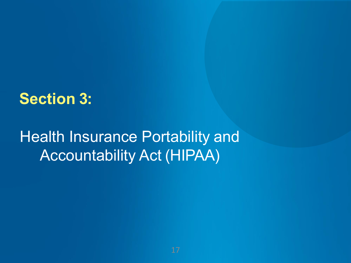### **Section 3:**

# Health Insurance Portability and Accountability Act (HIPAA)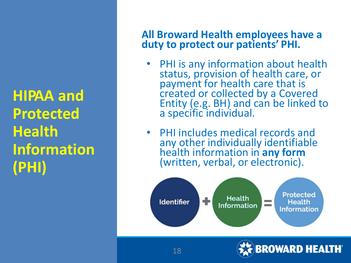**HIPAA and Protected Health Information (PHI)**

### **All Broward Health employees have a duty to protect our patients' PHI.**

- PHI is any information about health status, provision of health care, or payment for health care that is created or collected by a Covered Entity (e.g. BH) and can be linked to<br>a specific individual.
- PHI includes medical records and any other individually identifiable health information in **any form** (written, verbal, or electronic).



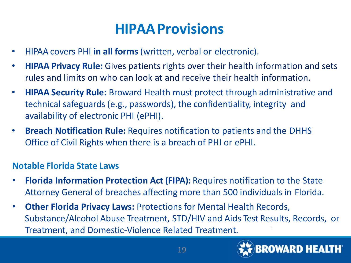### **HIPAAProvisions**

- HIPAA covers PHI **in all forms** (written, verbal or electronic).
- **HIPAA Privacy Rule:** Gives patients rights over their health information and sets rules and limits on who can look at and receive their health information.
- **HIPAA Security Rule:** Broward Health must protect through administrative and technical safeguards (e.g., passwords), the confidentiality, integrity and availability of electronic PHI (ePHI).
- **Breach Notification Rule:** Requires notification to patients and the DHHS Office of Civil Rights when there is a breach of PHI or ePHI.

#### **Notable Florida State Laws**

- **Florida Information Protection Act (FIPA):** Requires notification to the State Attorney General of breaches affecting more than 500 individuals in Florida.
- **Other Florida Privacy Laws:** Protections for Mental Health Records, Substance/Alcohol Abuse Treatment, STD/HIV and Aids Test Results, Records, or Treatment, and Domestic-Violence Related Treatment.

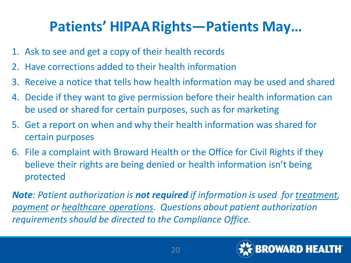## **Patients' HIPAARights—Patients May…**

- 1. Ask to see and get a copy of their health records
- 2. Have corrections added to their health information
- 3. Receive a notice that tells how health information may be used and shared
- 4. Decide if they want to give permission before their health information can be used or shared for certain purposes, such as for marketing
- 5. Get a report on when and why their health information was shared for certain purposes
- 6. File a complaint with Broward Health or the Office for Civil Rights if they believe their rights are being denied or health information isn't being protected

*Note: Patient authorization is not required if information is used for treatment, payment or healthcare operations. Questions about patient authorization requirements should be directed to the Compliance Office.*

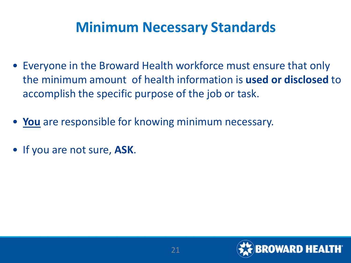### **Minimum Necessary Standards**

- Everyone in the Broward Health workforce must ensure that only the minimum amount of health information is **used or disclosed** to accomplish the specific purpose of the job or task.
- **You** are responsible for knowing minimum necessary.
- If you are not sure, **ASK**.

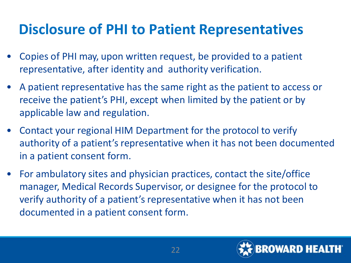## **Disclosure of PHI to Patient Representatives**

- Copies of PHI may, upon written request, be provided to a patient representative, after identity and authority verification.
- A patient representative has the same right as the patient to access or receive the patient's PHI, except when limited by the patient or by applicable law and regulation.
- Contact your regional HIM Department for the protocol to verify authority of a patient's representative when it has not been documented in a patient consent form.
- For ambulatory sites and physician practices, contact the site/office manager, Medical Records Supervisor, or designee for the protocol to verify authority of a patient's representative when it has not been documented in a patient consent form.

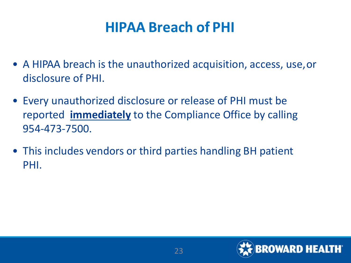### **HIPAA Breach of PHI**

- A HIPAA breach is the unauthorized acquisition, access, use,or disclosure of PHI.
- Every unauthorized disclosure or release of PHI must be reported **immediately** to the Compliance Office by calling 954-473-7500.
- This includes vendors or third parties handling BH patient PHI.

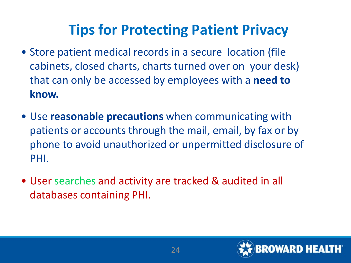# **Tips for Protecting Patient Privacy**

- Store patient medical records in a secure location (file cabinets, closed charts, charts turned over on your desk) that can only be accessed by employees with a **need to know.**
- Use **reasonable precautions** when communicating with patients or accounts through the mail, email, by fax or by phone to avoid unauthorized or unpermitted disclosure of PHI.
- User searches and activity are tracked & audited in all databases containing PHI.

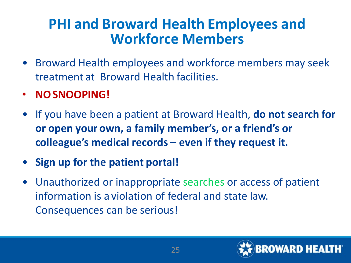### **PHI and Broward Health Employees and Workforce Members**

- Broward Health employees and workforce members may seek treatment at Broward Health facilities.
- **NOSNOOPING!**
- If you have been a patient at Broward Health, **do not search for or open your own, a family member's, or a friend's or colleague's medical records – even if they request it.**
- **Sign up for the patient portal!**
- Unauthorized or inappropriate searches or access of patient information is a violation of federal and state law. Consequences can be serious!

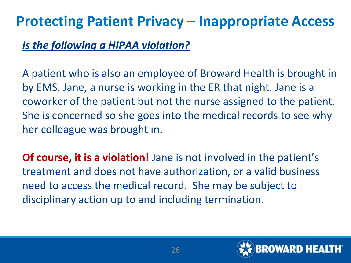### **Protecting Patient Privacy – Inappropriate Access**

### *Is the following a HIPAA violation?*

A patient who is also an employee of Broward Health is brought in by EMS. Jane, a nurse is working in the ER that night. Jane is a coworker of the patient but not the nurse assigned to the patient. She is concerned so she goes into the medical records to see why her colleague was brought in.

**Of course, it is a violation!** Jane is not involved in the patient's treatment and does not have authorization, or a valid business need to access the medical record. She may be subject to disciplinary action up to and including termination.

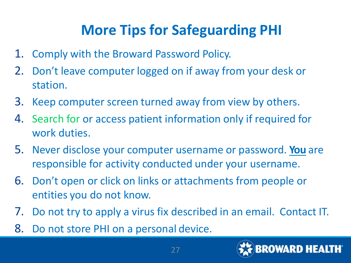# **More Tips for Safeguarding PHI**

- 1. Comply with the Broward Password Policy.
- 2. Don't leave computer logged on if away from your desk or station.
- 3. Keep computer screen turned away from view by others.
- 4. Search for or access patient information only if required for work duties.
- 5. Never disclose your computer username or password. **You** are responsible for activity conducted under your username.
- 6. Don't open or click on links or attachments from people or entities you do not know.
- 7. Do not try to apply a virus fix described in an email. Contact IT.
- 8. Do not store PHI on a personal device.